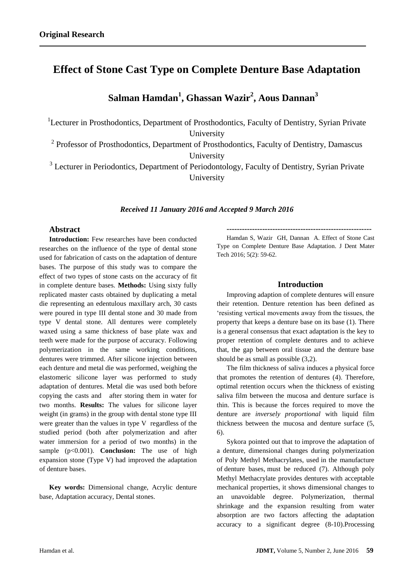# **Effect of Stone Cast Type on Complete Denture Base Adaptation**

**Salman Hamdan<sup>1</sup> , Ghassan Wazir<sup>2</sup> , Aous Dannan<sup>3</sup>**

<sup>1</sup>Lecturer in Prosthodontics, Department of Prosthodontics, Faculty of Dentistry, Syrian Private University

<sup>2</sup> Professor of Prosthodontics, Department of Prosthodontics, Faculty of Dentistry, Damascus University

<sup>3</sup> Lecturer in Periodontics, Department of Periodontology, Faculty of Dentistry, Syrian Private University

## *Received 11 January 2016 and Accepted 9 March 2016*

## **Abstract**

**Introduction:** Few researches have been conducted researches on the influence of the type of dental stone used for fabrication of casts on the adaptation of denture bases. The purpose of this study was to compare the effect of two types of stone casts on the accuracy of fit in complete denture bases. **Methods:** Using sixty fully replicated master casts obtained by duplicating a metal die representing an edentulous maxillary arch, 30 casts were poured in type III dental stone and 30 made from type V dental stone. All dentures were completely waxed using a same thickness of base plate wax and teeth were made for the purpose of accuracy. Following polymerization in the same working conditions, dentures were trimmed. After silicone injection between each denture and metal die was performed, weighing the elastomeric silicone layer was performed to study adaptation of dentures. Metal die was used both before copying the casts and after storing them in water for two months. **Results:** The values for silicone layer weight (in grams) in the group with dental stone type III were greater than the values in type V regardless of the studied period (both after polymerization and after water immersion for a period of two months) in the sample (p<0.001). **Conclusion:** The use of high expansion stone (Type V) had improved the adaptation of denture bases.

**Key words:** Dimensional change, Acrylic denture base, Adaptation accuracy, Dental stones.

**---------------------------------------------------------**

Hamdan S, Wazir GH, Dannan A. Effect of Stone Cast Type on Complete Denture Base Adaptation. J Dent Mater Tech 2016; 5(2): 59-62.

## **Introduction**

Improving adaption of complete dentures will ensure their retention. Denture retention has been defined as 'resisting vertical movements away from the tissues, the property that keeps a denture base on its base (1). There is a general consensus that exact adaptation is the key to proper retention of complete dentures and to achieve that, the gap between oral tissue and the denture base should be as small as possible (3,2).

The film thickness of saliva induces a physical force that promotes the retention of dentures [\(4\)](#page-2-0). Therefore, optimal retention occurs when the thickness of existing saliva film between the mucosa and denture surface is thin. This is because the forces required to move the denture are *inversely proportional* with liquid film thickness between the mucosa and denture surface (5, 6).

Sykora pointed out that to improve the adaptation of a denture, dimensional changes during polymerization of Poly Methyl Methacrylates, used in the manufacture of denture bases, must be reduced (7). Although poly Methyl Methacrylate provides dentures with acceptable mechanical properties, it shows dimensional changes to an unavoidable degree. Polymerization, thermal shrinkage and the expansion resulting from water absorption are two factors affecting the adaptation accuracy to a significant degree (8-10).Processing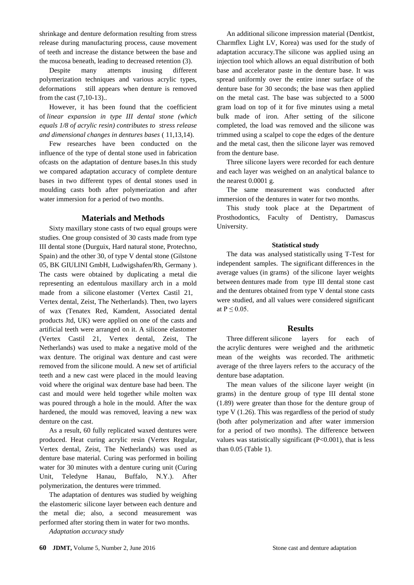shrinkage and denture deformation resulting from stress release during manufacturing process, cause movement of teeth and increase the distance between the base and the mucosa beneath, leading to decreased retention (3).

Despite many attempts inusing different polymerization techniques and various acrylic types, deformations still appears when denture is removed from the cast (7,10-13)..

However, it has been found that the coefficient of *linear expansion in type III dental stone (which equals 1/8 of acrylic resin) contributes to stress release and dimensional changes in dentures bases* ( 11,13,14).

Few researches have been conducted on the influence of the type of dental stone used in fabrication ofcasts on the adaptation of denture bases.In this study we compared adaptation accuracy of complete denture bases in two different types of dental stones used in moulding casts both after polymerization and after water immersion for a period of two months.

# **Materials and Methods**

Sixty maxillary stone casts of two equal groups were studies. One group consisted of 30 casts made from type III dental stone (Durguix, Hard natural stone, Protechno, Spain) and the other 30, of type V dental stone (Gilstone 05, BK GIULINI GmbH, Ludwigshafen/Rh, Germany ). The casts were obtained by duplicating a metal die representing an edentulous maxillary arch in a mold made from a silicone elastomer (Vertex Castil 21, Vertex dental, Zeist, The Netherlands). Then, two layers of wax (Tenatex Red, Kamdent, Associated dental products Jtd, UK) were applied on one of the casts and artificial teeth were arranged on it. A silicone elastomer (Vertex Castil 21, Vertex dental, Zeist, The Netherlands) was used to make a negative mold of the wax denture. The original wax denture and cast were removed from the silicone mould. A new set of artificial teeth and a new cast were placed in the mould leaving void where the original wax denture base had been. The cast and mould were held together while molten wax was poured through a hole in the mould. After the wax hardened, the mould was removed, leaving a new wax denture on the cast.

As a result, 60 fully replicated waxed dentures were produced. Heat curing acrylic resin (Vertex Regular, Vertex dental, Zeist, The Netherlands) was used as denture base material. Curing was performed in boiling water for 30 minutes with a denture curing unit (Curing Unit, Teledyne Hanau, Buffalo, N.Y.). After polymerization, the dentures were trimmed.

The adaptation of dentures was studied by weighing the elastomeric silicone layer between each denture and the metal die; also, a second measurement was performed after storing them in water for two months.

*Adaptation accuracy study*

An additional silicone impression material (Dentkist, Charmflex Light LV, Korea) was used for the study of adaptation accuracy.The silicone was applied using an injection tool which allows an equal distribution of both base and accelerator paste in the denture base. It was spread uniformly over the entire inner surface of the denture base for 30 seconds; the base was then applied on the metal cast. The base was subjected to a 5000 gram load on top of it for five minutes using a metal bulk made of iron. After setting of the silicone completed, the load was removed and the silicone was trimmed using a scalpel to cope the edges of the denture and the metal cast, then the silicone layer was removed from the denture base.

Three silicone layers were recorded for each denture and each layer was weighed on an analytical balance to the nearest 0.0001 g.

The same measurement was conducted after immersion of the dentures in water for two months.

This study took place at the Department of Prosthodontics, Faculty of Dentistry, Damascus University.

#### **Statistical study**

The data was analysed statistically using T-Test for independent samples. The significant differences in the average values (in grams) of the silicone layer weights between dentures made from type III dental stone cast and the dentures obtained from type V dental stone casts were studied, and all values were considered significant at  $P \leq 0.05$ .

#### **Results**

Three different silicone layers for each of the acrylic dentures were weighed and the arithmetic mean of the weights was recorded. The arithmetic average of the three layers refers to the accuracy of the denture base adaptation.

The mean values of the silicone layer weight (in grams) in the denture group of type III dental stone (1.89) were greater than those for the denture group of type V (1.26). This was regardless of the period of study (both after polymerization and after water immersion for a period of two months). The difference between values was statistically significant (P<0.001), that is less than 0.05 (Table 1).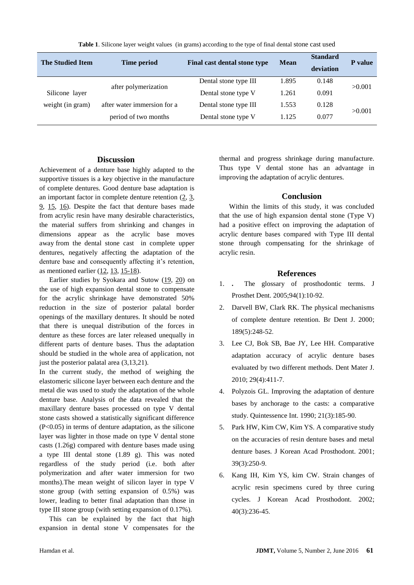| <b>The Studied Item</b> | Time period                 | Final cast dental stone type | <b>Mean</b> | <b>Standard</b><br>deviation | P value |
|-------------------------|-----------------------------|------------------------------|-------------|------------------------------|---------|
|                         | after polymerization        | Dental stone type III        | 1.895       | 0.148                        | >0.001  |
| Silicone layer          |                             | Dental stone type V          | 1.261       | 0.091                        |         |
| weight (in gram)        | after water immersion for a | Dental stone type III        | 1.553       | 0.128                        | >0.001  |
|                         | period of two months        | Dental stone type V          | 1.125       | 0.077                        |         |

**Table 1**. Silicone layer weight values (in grams) according to the type of final dental stone cast used

# **Discussion**

Achievement of a denture base highly adapted to the supportive tissues is a key objective in the manufacture of complete dentures. Good denture base adaptation is an important factor in complete denture retention  $(2, 3)$  $(2, 3)$ , [9,](#page-3-0) [15,](#page-3-1) [16\)](#page-3-2). Despite the fact that denture bases made from acrylic resin have many desirable characteristics, the material suffers from shrinking and changes in dimensions appear as the acrylic base moves away from the dental stone cast in complete upper dentures, negatively affecting the adaptation of the denture base and consequently affecting it's retention, as mentioned earlier [\(12,](#page-3-3) [13,](#page-3-4) [15-18\)](#page-3-1).

Earlier studies by Syokara and Sutow [\(19,](#page-3-5) [20\)](#page-3-6) on the use of high expansion dental stone to compensate for the acrylic shrinkage have demonstrated 50% reduction in the size of posterior palatal border openings of the maxillary dentures. It should be noted that there is unequal distribution of the forces in denture as these forces are later released unequally in different parts of denture bases. Thus the adaptation should be studied in the whole area of application, not just the posterior palatal area [\(3](#page-2-2)[,13,](#page-3-4)[21\)](#page-3-7).

In the current study, the method of weighing the elastomeric silicone layer between each denture and the metal die was used to study the adaptation of the whole denture base. Analysis of the data revealed that the maxillary denture bases processed on type V dental stone casts showed a statistically significant difference (P<0.05) in terms of denture adaptation, as the silicone layer was lighter in those made on type V dental stone casts (1.26g) compared with denture bases made using a type III dental stone (1.89 g). This was noted regardless of the study period (i.e. both after polymerization and after water immersion for two months).The mean weight of silicon layer in type V stone group (with setting expansion of 0.5%) was lower, leading to better final adaptation than those in type III stone group (with setting expansion of 0.17%).

This can be explained by the fact that high expansion in dental stone V compensates for the

thermal and progress shrinkage during manufacture. Thus type V dental stone has an advantage in improving the adaptation of acrylic dentures.

# **Conclusion**

Within the limits of this study, it was concluded that the use of high expansion dental stone (Type V) had a positive effect on improving the adaptation of acrylic denture bases compared with Type III dental stone through compensating for the shrinkage of acrylic resin.

# **References**

- 1. **.** The glossary of prosthodontic terms. J Prosthet Dent. 2005;94(1):10-92.
- <span id="page-2-1"></span>2. Darvell BW, Clark RK. The physical mechanisms of complete denture retention. Br Dent J. 2000; 189(5):248-52.
- <span id="page-2-2"></span>3. Lee CJ, Bok SB, Bae JY, Lee HH. Comparative adaptation accuracy of acrylic denture bases evaluated by two different methods. Dent Mater J. 2010; 29(4):411-7.
- <span id="page-2-0"></span>4. Polyzois GL. Improving the adaptation of denture bases by anchorage to the casts: a comparative study. Quintessence Int. 1990; 21(3):185-90.
- 5. Park HW, Kim CW, Kim YS. A comparative study on the accuracies of resin denture bases and metal denture bases. J Korean Acad Prosthodont. 2001; 39(3):250-9.
- 6. Kang IH, Kim YS, kim CW. Strain changes of acrylic resin specimens cured by three curing cycles. J Korean Acad Prosthodont. 2002; 40(3):236-45.